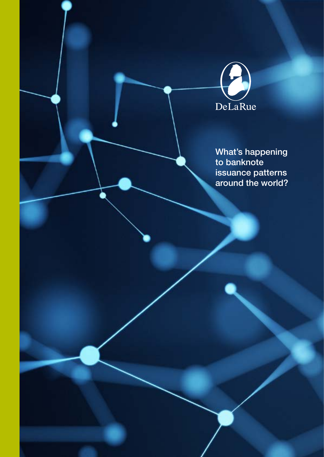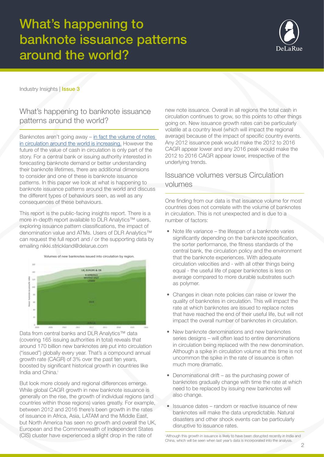

Industry Insights | Issue 3

### What's happening to banknote issuance patterns around the world?

Banknotes aren't going away – [in fact the volume of notes](https://cdn2.hubspot.net/hubfs/2752422/De%20La%20Rue%20Feb%202017/Images/Cash%20in%20Circulation.pdf?t=1523529595042)  [in circulation around the world is increasing.](https://cdn2.hubspot.net/hubfs/2752422/De%20La%20Rue%20Feb%202017/Images/Cash%20in%20Circulation.pdf?t=1523529595042) However the future of the value of cash in circulation is only part of the story. For a central bank or issuing authority interested in forecasting banknote demand or better understanding their banknote lifetimes, there are additional dimensions to consider and one of these is banknote issuance patterns. In this paper we look at what is happening to banknote issuance patterns around the world and discuss the different types of behaviours seen, as well as any consequences of these behaviours.

This report is the public-facing insights report. There is a more in-depth report available to DLR Analytics™ users, exploring issuance pattern classifications, the impact of denomination value and ATMs. Users of DLR Analytics™ can request the full report and / or the supporting data by emailing nikki.strickland@delarue.com



Data from central banks and DLR Analytics™ data (covering 165 issuing authorities in total) reveals that around 170 billion new banknotes are put into circulation ("issued") globally every year. That's a compound annual growth rate (CAGR) of 3% over the past ten years, boosted by significant historical growth in countries like India and China.<sup>i</sup>

But look more closely and regional differences emerge. While global CAGR growth in new banknote issuance is generally on the rise, the growth of individual regions (and countries within those regions) varies greatly. For example, between 2012 and 2016 there's been growth in the rates of issuance in Africa, Asia, LATAM and the Middle East, but North America has seen no growth and overall the UK, European and the Commonwealth of Independent States (CIS) cluster have experienced a slight drop in the rate of

new note issuance. Overall in all regions the total cash in circulation continues to grow, so this points to other things going on. New issuance growth rates can be particularly volatile at a country level (which will impact the regional average) because of the impact of specific country events. Any 2012 issuance peak would make the 2012 to 2016 CAGR appear lower and any 2016 peak would make the 2012 to 2016 CAGR appear lower, irrespective of the underlying trends.

### Issuance volumes versus Circulation volumes

One finding from our data is that issuance volume for most countries does not correlate with the volume of banknotes in circulation. This is not unexpected and is due to a number of factors:

- Note life variance the lifespan of a banknote varies significantly depending on the banknote specification, the sorter performance, the fitness standards of the central bank, the circulation policy and the environment that the banknote experiences. With adequate circulation velocities and - with all other things being equal - the useful life of paper banknotes is less on average compared to more durable substrates such as polymer.
- Changes in clean note policies can raise or lower the quality of banknotes in circulation. This will impact the rate at which banknotes are issued to replace notes that have reached the end of their useful life, but will not impact the overall number of banknotes in circulation.
- New banknote denominations and new banknotes series designs – will often lead to entire denominations in circulation being replaced with the new denomination. Although a spike in circulation volume at this time is not uncommon the spike in the rate of issuance is often much more dramatic.
- Denominational drift as the purchasing power of banknotes gradually change with time the rate at which need to be replaced by issuing new banknotes will also change.
- Issuance dates random or reactive issuance of new banknotes will make the data unpredictable. Natural disasters and other shock events can be particularly disruptive to issuance rates.

i Although this growth in issuance is likely to have been disrupted recently in India and China, which will be seen when last year's data is incorporated into the analysis.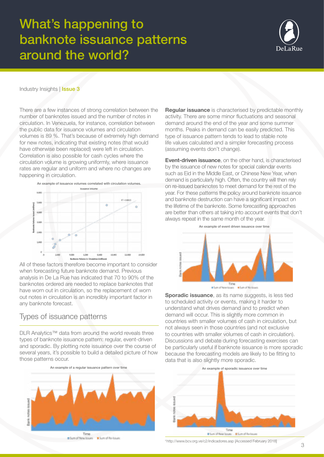

#### Industry Insights | **Issue 3**

There are a few instances of strong correlation between the number of banknotes issued and the number of notes in circulation. In Venezuela, for instance, correlation between the public data for issuance volumes and circulation volumes is 89 %. That's because of extremely high demand for new notes, indicating that existing notes (that would have otherwise been replaced) were left in circulation. Correlation is also possible for cash cycles where the circulation volume is growing uniformly, where issuance rates are regular and uniform and where no changes are happening in circulation.



All of these factors therefore become important to consider when forecasting future banknote demand. Previous analysis in De La Rue has indicated that 70 to 90% of the banknotes ordered are needed to replace banknotes that have worn out in circulation, so the replacement of worn out notes in circulation is an incredibly important factor in any banknote forecast.

### Types of issuance patterns

DLR Analytics™ data from around the world reveals three types of banknote issuance pattern: regular, event-driven and sporadic. By plotting note issuance over the course of several years, it's possible to build a detailed picture of how those patterns occur.



Milliam of New Issues 16 Sum of Re-Issues

**Regular issuance** is characterised by predictable monthly activity. There are some minor fluctuations and seasonal demand around the end of the year and some summer months. Peaks in demand can be easily predicted. This type of issuance pattern tends to lead to stable note life values calculated and a simpler forecasting process (assuming events don't change).

**Event-driven issuance**, on the other hand, is characterised by the issuance of new notes for special calendar events such as Eid in the Middle East, or Chinese New Year, when demand is particularly high. Often, the country will then rely on re-issued banknotes to meet demand for the rest of the year. For these patterns the policy around banknote issuance and banknote destruction can have a significant impact on the lifetime of the banknote. Some forecasting approaches are better than others at taking into account events that don't always repeat in the same month of the year.



**Sporadic issuance**, as its name suggests, is less tied to scheduled activity or events, making it harder to understand what drives demand and to predict when demand will occur. This is slightly more common in countries with smaller volumes of cash in circulation, but not always seen in those countries (and not exclusive to countries with smaller volumes of cash in circulation). Discussions and debate during forecasting exercises can be particularly useful if banknote issuance is more sporadic because the forecasting models are likely to be fitting to data that is also slightly more sporadic.



<sup>i</sup>http://www.bcv.org.ve/c2/indicadores.asp [Accessed February 2018]